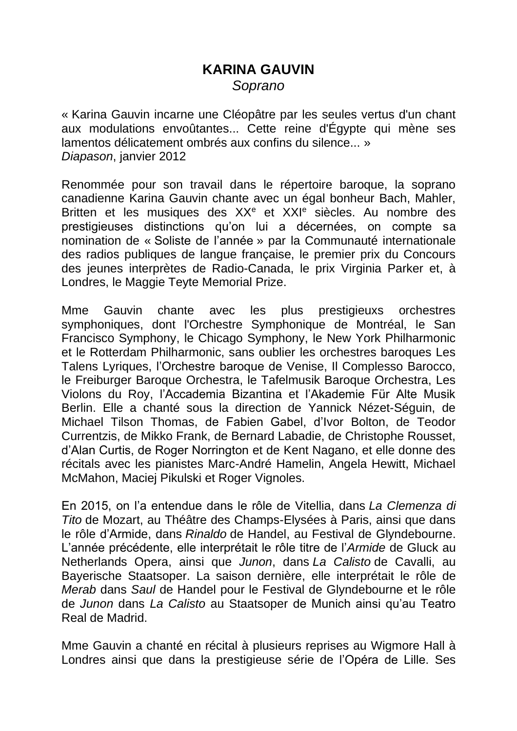## **KARINA GAUVIN** *Soprano*

« Karina Gauvin incarne une Cléopâtre par les seules vertus d'un chant aux modulations envoûtantes... Cette reine d'Égypte qui mène ses lamentos délicatement ombrés aux confins du silence... » *Diapason*, janvier 2012

Renommée pour son travail dans le répertoire baroque, la soprano canadienne Karina Gauvin chante avec un égal bonheur Bach, Mahler, Britten et les musiques des XX<sup>e</sup> et XXI<sup>e</sup> siècles. Au nombre des prestigieuses distinctions qu'on lui a décernées, on compte sa nomination de « Soliste de l'année » par la Communauté internationale des radios publiques de langue française, le premier prix du Concours des jeunes interprètes de Radio-Canada, le prix Virginia Parker et, à Londres, le Maggie Teyte Memorial Prize.

Mme Gauvin chante avec les plus prestigieuxs orchestres symphoniques, dont l'Orchestre Symphonique de Montréal, le San Francisco Symphony, le Chicago Symphony, le New York Philharmonic et le Rotterdam Philharmonic, sans oublier les orchestres baroques Les Talens Lyriques, l'Orchestre baroque de Venise, Il Complesso Barocco, le Freiburger Baroque Orchestra, le Tafelmusik Baroque Orchestra, Les Violons du Roy, l'Accademia Bizantina et l'Akademie Für Alte Musik Berlin. Elle a chanté sous la direction de Yannick Nézet-Séguin, de Michael Tilson Thomas, de Fabien Gabel, d'Ivor Bolton, de Teodor Currentzis, de Mikko Frank, de Bernard Labadie, de Christophe Rousset, d'Alan Curtis, de Roger Norrington et de Kent Nagano, et elle donne des récitals avec les pianistes Marc-André Hamelin, Angela Hewitt, Michael McMahon, Maciej Pikulski et Roger Vignoles.

En 2015, on l'a entendue dans le rôle de Vitellia, dans *La Clemenza di Tito* de Mozart, au Théâtre des Champs-Elysées à Paris, ainsi que dans le rôle d'Armide, dans *Rinaldo* de Handel, au Festival de Glyndebourne. L'année précédente, elle interprétait le rôle titre de l'*Armide* de Gluck au Netherlands Opera, ainsi que *Junon*, dans *La Calisto* de Cavalli, au Bayerische Staatsoper. La saison dernière, elle interprétait le rôle de *Merab* dans *Saul* de Handel pour le Festival de Glyndebourne et le rôle de *Junon* dans *La Calisto* au Staatsoper de Munich ainsi qu'au Teatro Real de Madrid.

Mme Gauvin a chanté en récital à plusieurs reprises au Wigmore Hall à Londres ainsi que dans la prestigieuse série de l'Opéra de Lille. Ses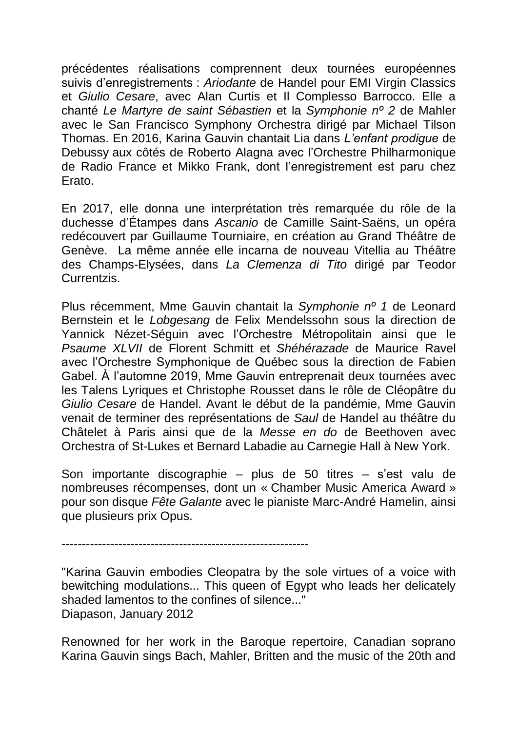précédentes réalisations comprennent deux tournées européennes suivis d'enregistrements : *Ariodante* de Handel pour EMI Virgin Classics et *Giulio Cesare*, avec Alan Curtis et Il Complesso Barrocco. Elle a chanté *Le Martyre de saint Sébastien* et la *Symphonie nº 2* de Mahler avec le San Francisco Symphony Orchestra dirigé par Michael Tilson Thomas. En 2016, Karina Gauvin chantait Lia dans *L'enfant prodigue* de Debussy aux côtés de Roberto Alagna avec l'Orchestre Philharmonique de Radio France et Mikko Frank, dont l'enregistrement est paru chez Erato.

En 2017, elle donna une interprétation très remarquée du rôle de la duchesse d'Étampes dans *Ascanio* de Camille Saint-Saëns, un opéra redécouvert par Guillaume Tourniaire, en création au Grand Théâtre de Genève. La même année elle incarna de nouveau Vitellia au Théâtre des Champs-Elysées, dans *La Clemenza di Tito* dirigé par Teodor Currentzis.

Plus récemment, Mme Gauvin chantait la *Symphonie nº 1* de Leonard Bernstein et le *Lobgesang* de Felix Mendelssohn sous la direction de Yannick Nézet-Séguin avec l'Orchestre Métropolitain ainsi que le *Psaume XLVII* de Florent Schmitt et *Shéhérazade* de Maurice Ravel avec l'Orchestre Symphonique de Québec sous la direction de Fabien Gabel. À l'automne 2019, Mme Gauvin entreprenait deux tournées avec les Talens Lyriques et Christophe Rousset dans le rôle de Cléopâtre du *Giulio Cesare* de Handel. Avant le début de la pandémie, Mme Gauvin venait de terminer des représentations de *Saul* de Handel au théâtre du Châtelet à Paris ainsi que de la *Messe en do* de Beethoven avec Orchestra of St-Lukes et Bernard Labadie au Carnegie Hall à New York.

Son importante discographie – plus de 50 titres – s'est valu de nombreuses récompenses, dont un « Chamber Music America Award » pour son disque *Fête Galante* avec le pianiste Marc-André Hamelin, ainsi que plusieurs prix Opus.

-------------------------------------------------------------

"Karina Gauvin embodies Cleopatra by the sole virtues of a voice with bewitching modulations... This queen of Egypt who leads her delicately shaded lamentos to the confines of silence..." Diapason, January 2012

Renowned for her work in the Baroque repertoire, Canadian soprano Karina Gauvin sings Bach, Mahler, Britten and the music of the 20th and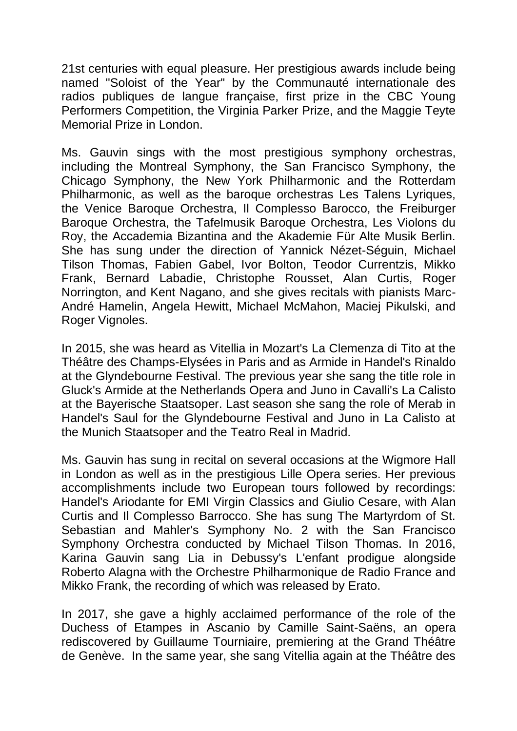21st centuries with equal pleasure. Her prestigious awards include being named "Soloist of the Year" by the Communauté internationale des radios publiques de langue française, first prize in the CBC Young Performers Competition, the Virginia Parker Prize, and the Maggie Teyte Memorial Prize in London.

Ms. Gauvin sings with the most prestigious symphony orchestras, including the Montreal Symphony, the San Francisco Symphony, the Chicago Symphony, the New York Philharmonic and the Rotterdam Philharmonic, as well as the baroque orchestras Les Talens Lyriques, the Venice Baroque Orchestra, Il Complesso Barocco, the Freiburger Baroque Orchestra, the Tafelmusik Baroque Orchestra, Les Violons du Roy, the Accademia Bizantina and the Akademie Für Alte Musik Berlin. She has sung under the direction of Yannick Nézet-Séguin, Michael Tilson Thomas, Fabien Gabel, Ivor Bolton, Teodor Currentzis, Mikko Frank, Bernard Labadie, Christophe Rousset, Alan Curtis, Roger Norrington, and Kent Nagano, and she gives recitals with pianists Marc-André Hamelin, Angela Hewitt, Michael McMahon, Maciej Pikulski, and Roger Vignoles.

In 2015, she was heard as Vitellia in Mozart's La Clemenza di Tito at the Théâtre des Champs-Elysées in Paris and as Armide in Handel's Rinaldo at the Glyndebourne Festival. The previous year she sang the title role in Gluck's Armide at the Netherlands Opera and Juno in Cavalli's La Calisto at the Bayerische Staatsoper. Last season she sang the role of Merab in Handel's Saul for the Glyndebourne Festival and Juno in La Calisto at the Munich Staatsoper and the Teatro Real in Madrid.

Ms. Gauvin has sung in recital on several occasions at the Wigmore Hall in London as well as in the prestigious Lille Opera series. Her previous accomplishments include two European tours followed by recordings: Handel's Ariodante for EMI Virgin Classics and Giulio Cesare, with Alan Curtis and Il Complesso Barrocco. She has sung The Martyrdom of St. Sebastian and Mahler's Symphony No. 2 with the San Francisco Symphony Orchestra conducted by Michael Tilson Thomas. In 2016, Karina Gauvin sang Lia in Debussy's L'enfant prodigue alongside Roberto Alagna with the Orchestre Philharmonique de Radio France and Mikko Frank, the recording of which was released by Erato.

In 2017, she gave a highly acclaimed performance of the role of the Duchess of Etampes in Ascanio by Camille Saint-Saëns, an opera rediscovered by Guillaume Tourniaire, premiering at the Grand Théâtre de Genève. In the same year, she sang Vitellia again at the Théâtre des